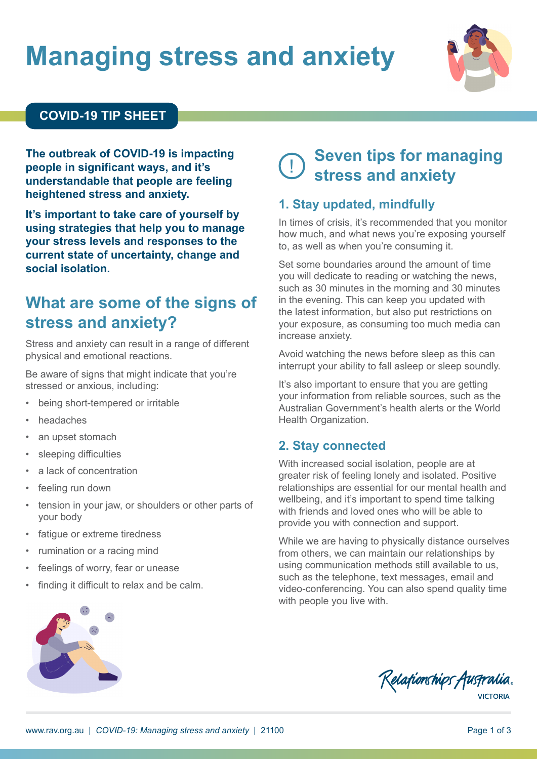# **Managing stress and anxiety**



#### **COVID-19 TIP SHEET**

**The outbreak of COVID-19 is impacting people in significant ways, and it's understandable that people are feeling heightened stress and anxiety.**

**It's important to take care of yourself by using strategies that help you to manage your stress levels and responses to the current state of uncertainty, change and social isolation.**

### **What are some of the signs of stress and anxiety?**

Stress and anxiety can result in a range of different physical and emotional reactions.

Be aware of signs that might indicate that you're stressed or anxious, including:

- being short-tempered or irritable
- **headaches**
- an upset stomach
- sleeping difficulties
- a lack of concentration
- feeling run down
- tension in your jaw, or shoulders or other parts of your body
- fatigue or extreme tiredness
- rumination or a racing mind
- feelings of worry, fear or unease
- finding it difficult to relax and be calm.



## ! **Seven tips for managing stress and anxiety**

#### **1. Stay updated, mindfully**

In times of crisis, it's recommended that you monitor how much, and what news you're exposing yourself to, as well as when you're consuming it.

Set some boundaries around the amount of time you will dedicate to reading or watching the news, such as 30 minutes in the morning and 30 minutes in the evening. This can keep you updated with the latest information, but also put restrictions on your exposure, as consuming too much media can increase anxiety.

Avoid watching the news before sleep as this can interrupt your ability to fall asleep or sleep soundly.

It's also important to ensure that you are getting your information from reliable sources, such as the Australian Government's health alerts or the World Health Organization.

#### **2. Stay connected**

With increased social isolation, people are at greater risk of feeling lonely and isolated. Positive relationships are essential for our mental health and wellbeing, and it's important to spend time talking with friends and loved ones who will be able to provide you with connection and support.

While we are having to physically distance ourselves from others, we can maintain our relationships by using communication methods still available to us, such as the telephone, text messages, email and video-conferencing. You can also spend quality time with people you live with.

Relationships Australia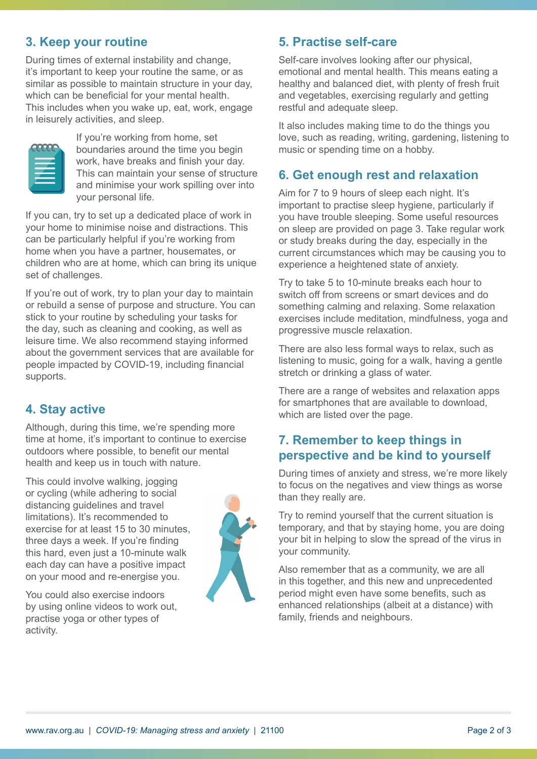#### **3. Keep your routine**

During times of external instability and change, it's important to keep your routine the same, or as similar as possible to maintain structure in your day, which can be beneficial for your mental health. This includes when you wake up, eat, work, engage in leisurely activities, and sleep.



If you're working from home, set boundaries around the time you begin work, have breaks and finish your day. This can maintain your sense of structure and minimise your work spilling over into your personal life.

If you can, try to set up a dedicated place of work in your home to minimise noise and distractions. This can be particularly helpful if you're working from home when you have a partner, housemates, or children who are at home, which can bring its unique set of challenges.

If you're out of work, try to plan your day to maintain or rebuild a sense of purpose and structure. You can stick to your routine by scheduling your tasks for the day, such as cleaning and cooking, as well as leisure time. We also recommend staying informed about the government services that are available for people impacted by COVID-19, including financial supports.

#### **4. Stay active**

Although, during this time, we're spending more time at home, it's important to continue to exercise outdoors where possible, to benefit our mental health and keep us in touch with nature.

This could involve walking, jogging or cycling (while adhering to social distancing guidelines and travel limitations). It's recommended to exercise for at least 15 to 30 minutes three days a week. If you're finding this hard, even just a 10-minute walk each day can have a positive impact on your mood and re-energise you.



You could also exercise indoors by using online videos to work out, practise yoga or other types of activity.

#### **5. Practise self-care**

Self-care involves looking after our physical, emotional and mental health. This means eating a healthy and balanced diet, with plenty of fresh fruit and vegetables, exercising regularly and getting restful and adequate sleep.

It also includes making time to do the things you love, such as reading, writing, gardening, listening to music or spending time on a hobby.

#### **6. Get enough rest and relaxation**

Aim for 7 to 9 hours of sleep each night. It's important to practise sleep hygiene, particularly if you have trouble sleeping. Some useful resources on sleep are provided on page 3. Take regular work or study breaks during the day, especially in the current circumstances which may be causing you to experience a heightened state of anxiety.

Try to take 5 to 10-minute breaks each hour to switch off from screens or smart devices and do something calming and relaxing. Some relaxation exercises include meditation, mindfulness, yoga and progressive muscle relaxation.

There are also less formal ways to relax, such as listening to music, going for a walk, having a gentle stretch or drinking a glass of water.

There are a range of websites and relaxation apps for smartphones that are available to download, which are listed over the page.

#### **7. Remember to keep things in perspective and be kind to yourself**

During times of anxiety and stress, we're more likely to focus on the negatives and view things as worse than they really are.

Try to remind yourself that the current situation is temporary, and that by staying home, you are doing your bit in helping to slow the spread of the virus in your community.

Also remember that as a community, we are all in this together, and this new and unprecedented period might even have some benefits, such as enhanced relationships (albeit at a distance) with family, friends and neighbours.